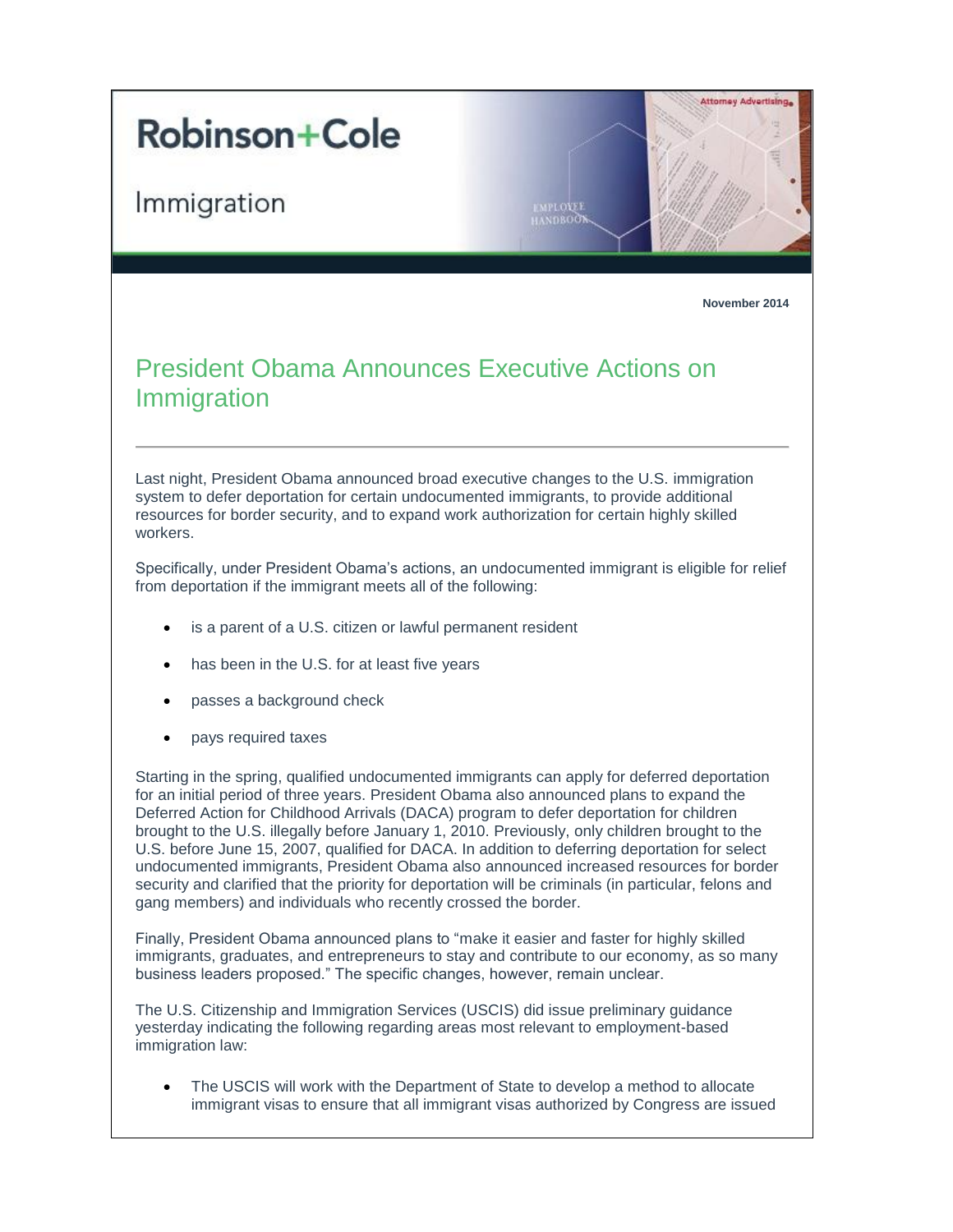## **Robinson+Cole**

Immigration



MPLOVER **NDBOOT** 

**November 2014**

## President Obama Announces Executive Actions on Immigration

Last night, President Obama announced broad executive changes to the U.S. immigration system to defer deportation for certain undocumented immigrants, to provide additional resources for border security, and to expand work authorization for certain highly skilled workers.

Specifically, under President Obama's actions, an undocumented immigrant is eligible for relief from deportation if the immigrant meets all of the following:

- is a parent of a U.S. citizen or lawful permanent resident
- has been in the U.S. for at least five years
- passes a background check
- pays required taxes

Starting in the spring, qualified undocumented immigrants can apply for deferred deportation for an initial period of three years. President Obama also announced plans to expand the Deferred Action for Childhood Arrivals (DACA) program to defer deportation for children brought to the U.S. illegally before January 1, 2010. Previously, only children brought to the U.S. before June 15, 2007, qualified for DACA. In addition to deferring deportation for select undocumented immigrants, President Obama also announced increased resources for border security and clarified that the priority for deportation will be criminals (in particular, felons and gang members) and individuals who recently crossed the border.

Finally, President Obama announced plans to "make it easier and faster for highly skilled immigrants, graduates, and entrepreneurs to stay and contribute to our economy, as so many business leaders proposed." The specific changes, however, remain unclear.

The U.S. Citizenship and Immigration Services (USCIS) did issue preliminary guidance yesterday indicating the following regarding areas most relevant to employment-based immigration law:

 The USCIS will work with the Department of State to develop a method to allocate immigrant visas to ensure that all immigrant visas authorized by Congress are issued